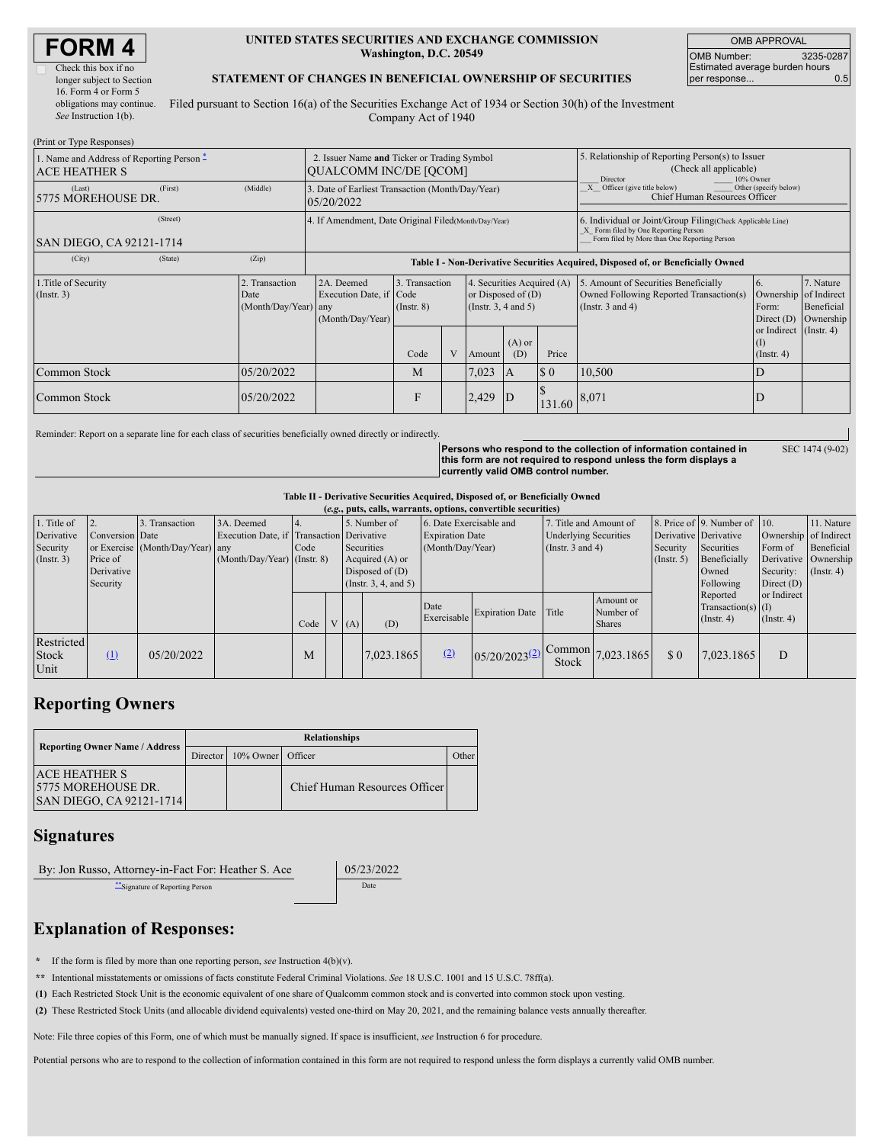| Check this box if no      |
|---------------------------|
| longer subject to Section |
| 16. Form 4 or Form 5      |
| obligations may continue. |
| See Instruction 1(b).     |

### **UNITED STATES SECURITIES AND EXCHANGE COMMISSION Washington, D.C. 20549**

OMB APPROVAL OMB Number: 3235-0287 Estimated average burden hours per response... 6.5

SEC 1474 (9-02)

# **STATEMENT OF CHANGES IN BENEFICIAL OWNERSHIP OF SECURITIES**

Filed pursuant to Section 16(a) of the Securities Exchange Act of 1934 or Section 30(h) of the Investment Company Act of 1940

| (Print or Type Responses)                                         |         |                                                                              |                                                                                                                                                                                  |              |   |        |                                                                                                                                                    |                                                                                                     |                                                                                                                                                                                                          |                                            |  |  |
|-------------------------------------------------------------------|---------|------------------------------------------------------------------------------|----------------------------------------------------------------------------------------------------------------------------------------------------------------------------------|--------------|---|--------|----------------------------------------------------------------------------------------------------------------------------------------------------|-----------------------------------------------------------------------------------------------------|----------------------------------------------------------------------------------------------------------------------------------------------------------------------------------------------------------|--------------------------------------------|--|--|
| 1. Name and Address of Reporting Person –<br><b>ACE HEATHER S</b> |         | 2. Issuer Name and Ticker or Trading Symbol<br><b>OUALCOMM INC/DE [OCOM]</b> |                                                                                                                                                                                  |              |   |        | 5. Relationship of Reporting Person(s) to Issuer<br>(Check all applicable)<br>10% Owner<br>Director                                                |                                                                                                     |                                                                                                                                                                                                          |                                            |  |  |
| (Last)<br>5775 MOREHOUSE DR.                                      | (First) | (Middle)                                                                     | 3. Date of Earliest Transaction (Month/Day/Year)<br>05/20/2022                                                                                                                   |              |   |        |                                                                                                                                                    | $\overline{X}$ Officer (give title below)<br>Other (specify below)<br>Chief Human Resources Officer |                                                                                                                                                                                                          |                                            |  |  |
| SAN DIEGO, CA 92121-1714                                          |         | 4. If Amendment, Date Original Filed (Month/Day/Year)                        |                                                                                                                                                                                  |              |   |        | 6. Individual or Joint/Group Filing(Check Applicable Line)<br>X Form filed by One Reporting Person<br>Form filed by More than One Reporting Person |                                                                                                     |                                                                                                                                                                                                          |                                            |  |  |
| (City)                                                            | (State) | (Zip)                                                                        | Table I - Non-Derivative Securities Acquired, Disposed of, or Beneficially Owned                                                                                                 |              |   |        |                                                                                                                                                    |                                                                                                     |                                                                                                                                                                                                          |                                            |  |  |
| 1. Title of Security<br>$($ Instr. 3 $)$<br>Date                  |         | 2. Transaction<br>(Month/Day/Year) any                                       | 2A. Deemed<br>3. Transaction<br>4. Securities Acquired (A)<br>or Disposed of $(D)$<br>Execution Date, if Code<br>(Instr. $3, 4$ and $5$ )<br>$($ Instr. $8)$<br>(Month/Day/Year) |              |   |        |                                                                                                                                                    |                                                                                                     | 5. Amount of Securities Beneficially<br>7. Nature<br>6.<br>Owned Following Reported Transaction(s)<br>Ownership of Indirect<br>(Instr. $3$ and $4$ )<br>Beneficial<br>Form:<br>Ownership<br>Direct $(D)$ |                                            |  |  |
|                                                                   |         |                                                                              |                                                                                                                                                                                  | Code         | V | Amount | $(A)$ or<br>(D)                                                                                                                                    | Price                                                                                               |                                                                                                                                                                                                          | or Indirect (Instr. 4)<br>$($ Instr. 4 $)$ |  |  |
| Common Stock                                                      |         | 05/20/2022                                                                   |                                                                                                                                                                                  | M            |   | 7,023  | 1A                                                                                                                                                 | $\sqrt{50}$                                                                                         | 10,500                                                                                                                                                                                                   |                                            |  |  |
| Common Stock                                                      |         | 05/20/2022                                                                   |                                                                                                                                                                                  | $\mathbf{F}$ |   | 2,429  | $\overline{D}$                                                                                                                                     | 131.60                                                                                              | 8,071                                                                                                                                                                                                    | D                                          |  |  |

Reminder: Report on a separate line for each class of securities beneficially owned directly or indirectly.

**Persons who respond to the collection of information contained in this form are not required to respond unless the form displays a currently valid OMB control number.**

## **Table II - Derivative Securities Acquired, Disposed of, or Beneficially Owned**

|                      | (e.g., puts, calls, warrants, options, convertible securities) |                 |                                  |                                           |      |  |                      |            |                         |                        |                              |                                |                       |                                  |                       |               |
|----------------------|----------------------------------------------------------------|-----------------|----------------------------------|-------------------------------------------|------|--|----------------------|------------|-------------------------|------------------------|------------------------------|--------------------------------|-----------------------|----------------------------------|-----------------------|---------------|
|                      | 1. Title of                                                    |                 | Transaction                      | 3A. Deemed                                |      |  | 5. Number of         |            | 6. Date Exercisable and |                        | 7. Title and Amount of       |                                |                       | 8. Price of 9. Number of 10.     |                       | 11. Nature    |
|                      | Derivative                                                     | Conversion Date |                                  | Execution Date, if Transaction Derivative |      |  |                      |            | <b>Expiration Date</b>  |                        | <b>Underlying Securities</b> |                                | Derivative Derivative |                                  | Ownership of Indirect |               |
| Security             |                                                                |                 | or Exercise (Month/Day/Year) any |                                           | Code |  | Securities           |            | (Month/Day/Year)        |                        | (Instr. $3$ and $4$ )        |                                | Security              | Securities                       | Form of               | Beneficial    |
| $($ Instr. 3)        |                                                                | Price of        |                                  | $(Month/Day/Year)$ (Instr. 8)             |      |  | Acquired (A) or      |            |                         |                        |                              | $($ Instr. 5 $)$               | Beneficially          | Derivative Ownership             |                       |               |
|                      |                                                                | Derivative      |                                  |                                           |      |  | Disposed of $(D)$    |            |                         |                        |                              |                                |                       | Owned                            | Security:             | $($ Instr. 4) |
|                      |                                                                | Security        |                                  |                                           |      |  | (Instr. 3, 4, and 5) |            |                         |                        |                              |                                |                       | Following                        | Direct $(D)$          |               |
|                      |                                                                |                 |                                  |                                           |      |  |                      |            | Date                    | <b>Expiration Date</b> | Title                        | Amount or<br>Number of         |                       | Reported<br>$Transaction(s)$ (I) | or Indirect           |               |
|                      |                                                                |                 |                                  |                                           | Code |  | V(A)                 | (D)        | Exercisable             |                        |                              | <b>Shares</b>                  |                       | $($ Instr. 4 $)$                 | $($ Instr. 4 $)$      |               |
| <b>Stock</b><br>Unit | Restricted                                                     | (1)             | 05/20/2022                       |                                           | M    |  |                      | 7,023.1865 | (2)                     | $05/20/2023^{(2)}$     | Stock                        | $1^{\text{Common}}$ 7,023.1865 | \$0                   | 7,023.1865                       | D                     |               |

# **Reporting Owners**

|  | <b>Reporting Owner Name / Address</b>                                    | <b>Relationships</b> |                   |                               |       |  |  |  |  |  |  |
|--|--------------------------------------------------------------------------|----------------------|-------------------|-------------------------------|-------|--|--|--|--|--|--|
|  |                                                                          | Director I           | 10% Owner Officer |                               | Other |  |  |  |  |  |  |
|  | <b>LACE HEATHER S</b><br>15775 MOREHOUSE DR.<br>SAN DIEGO, CA 92121-1714 |                      |                   | Chief Human Resources Officer |       |  |  |  |  |  |  |

# **Signatures**

By: Jon Russo, Attorney-in-Fact For: Heather S. Ace 05/23/2022

\*\*Signature of Reporting Person Date

# **Explanation of Responses:**

**\*** If the form is filed by more than one reporting person, *see* Instruction 4(b)(v).

**\*\*** Intentional misstatements or omissions of facts constitute Federal Criminal Violations. *See* 18 U.S.C. 1001 and 15 U.S.C. 78ff(a).

**(1)** Each Restricted Stock Unit is the economic equivalent of one share of Qualcomm common stock and is converted into common stock upon vesting.

**(2)** These Restricted Stock Units (and allocable dividend equivalents) vested one-third on May 20, 2021, and the remaining balance vests annually thereafter.

Note: File three copies of this Form, one of which must be manually signed. If space is insufficient, *see* Instruction 6 for procedure.

Potential persons who are to respond to the collection of information contained in this form are not required to respond unless the form displays a currently valid OMB number.